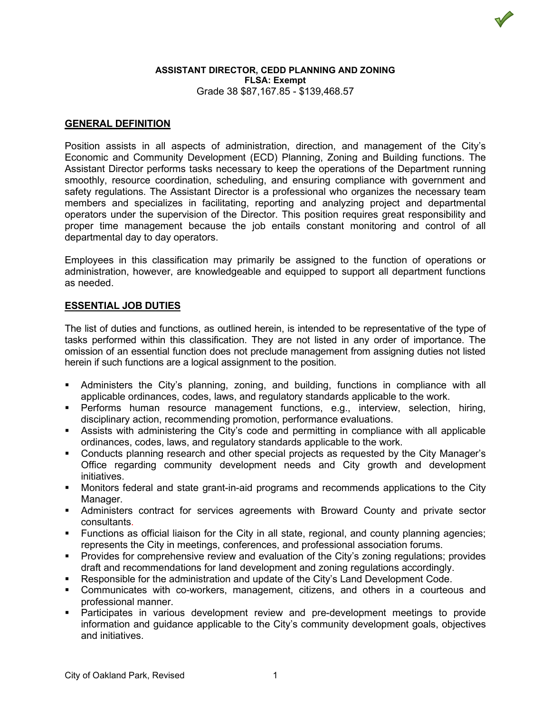

# **GENERAL DEFINITION**

Position assists in all aspects of administration, direction, and management of the City's Economic and Community Development (ECD) Planning, Zoning and Building functions. The Assistant Director performs tasks necessary to keep the operations of the Department running smoothly, resource coordination, scheduling, and ensuring compliance with government and safety regulations. The Assistant Director is a professional who organizes the necessary team members and specializes in facilitating, reporting and analyzing project and departmental operators under the supervision of the Director. This position requires great responsibility and proper time management because the job entails constant monitoring and control of all departmental day to day operators.

Employees in this classification may primarily be assigned to the function of operations or administration, however, are knowledgeable and equipped to support all department functions as needed.

## **ESSENTIAL JOB DUTIES**

The list of duties and functions, as outlined herein, is intended to be representative of the type of tasks performed within this classification. They are not listed in any order of importance. The omission of an essential function does not preclude management from assigning duties not listed herein if such functions are a logical assignment to the position.

- Administers the City's planning, zoning, and building, functions in compliance with all applicable ordinances, codes, laws, and regulatory standards applicable to the work.
- Performs human resource management functions, e.g., interview, selection, hiring, disciplinary action, recommending promotion, performance evaluations.
- Assists with administering the City's code and permitting in compliance with all applicable ordinances, codes, laws, and regulatory standards applicable to the work.
- Conducts planning research and other special projects as requested by the City Manager's Office regarding community development needs and City growth and development initiatives.
- Monitors federal and state grant-in-aid programs and recommends applications to the City Manager.
- Administers contract for services agreements with Broward County and private sector consultants.
- Functions as official liaison for the City in all state, regional, and county planning agencies; represents the City in meetings, conferences, and professional association forums.
- Provides for comprehensive review and evaluation of the City's zoning regulations; provides draft and recommendations for land development and zoning regulations accordingly.
- Responsible for the administration and update of the City's Land Development Code.
- Communicates with co-workers, management, citizens, and others in a courteous and professional manner.
- Participates in various development review and pre-development meetings to provide information and guidance applicable to the City's community development goals, objectives and initiatives.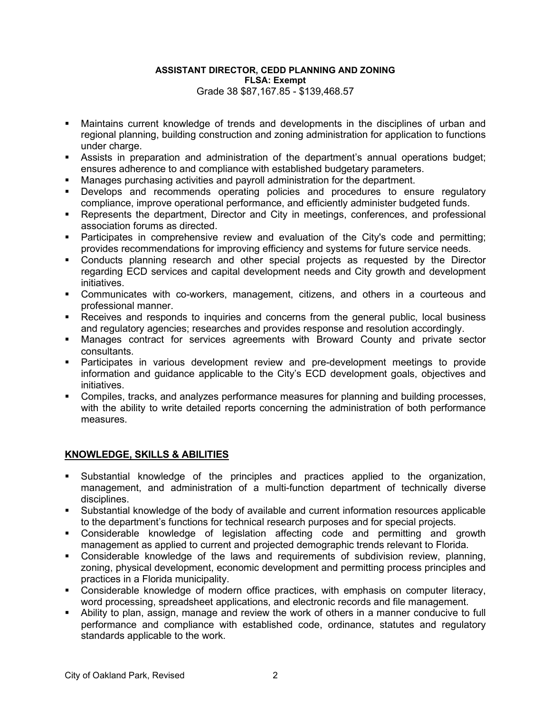- Maintains current knowledge of trends and developments in the disciplines of urban and regional planning, building construction and zoning administration for application to functions under charge.
- Assists in preparation and administration of the department's annual operations budget; ensures adherence to and compliance with established budgetary parameters.
- Manages purchasing activities and payroll administration for the department.
- Develops and recommends operating policies and procedures to ensure regulatory compliance, improve operational performance, and efficiently administer budgeted funds.
- Represents the department, Director and City in meetings, conferences, and professional association forums as directed.
- Participates in comprehensive review and evaluation of the City's code and permitting; provides recommendations for improving efficiency and systems for future service needs.
- Conducts planning research and other special projects as requested by the Director regarding ECD services and capital development needs and City growth and development initiatives.
- Communicates with co-workers, management, citizens, and others in a courteous and professional manner.
- **Receives and responds to inquiries and concerns from the general public, local business** and regulatory agencies; researches and provides response and resolution accordingly.
- Manages contract for services agreements with Broward County and private sector consultants.
- Participates in various development review and pre-development meetings to provide information and guidance applicable to the City's ECD development goals, objectives and initiatives.
- Compiles, tracks, and analyzes performance measures for planning and building processes, with the ability to write detailed reports concerning the administration of both performance measures.

# **KNOWLEDGE, SKILLS & ABILITIES**

- Substantial knowledge of the principles and practices applied to the organization, management, and administration of a multi-function department of technically diverse disciplines.
- Substantial knowledge of the body of available and current information resources applicable to the department's functions for technical research purposes and for special projects.
- Considerable knowledge of legislation affecting code and permitting and growth management as applied to current and projected demographic trends relevant to Florida.
- Considerable knowledge of the laws and requirements of subdivision review, planning, zoning, physical development, economic development and permitting process principles and practices in a Florida municipality.
- Considerable knowledge of modern office practices, with emphasis on computer literacy, word processing, spreadsheet applications, and electronic records and file management.
- Ability to plan, assign, manage and review the work of others in a manner conducive to full performance and compliance with established code, ordinance, statutes and regulatory standards applicable to the work.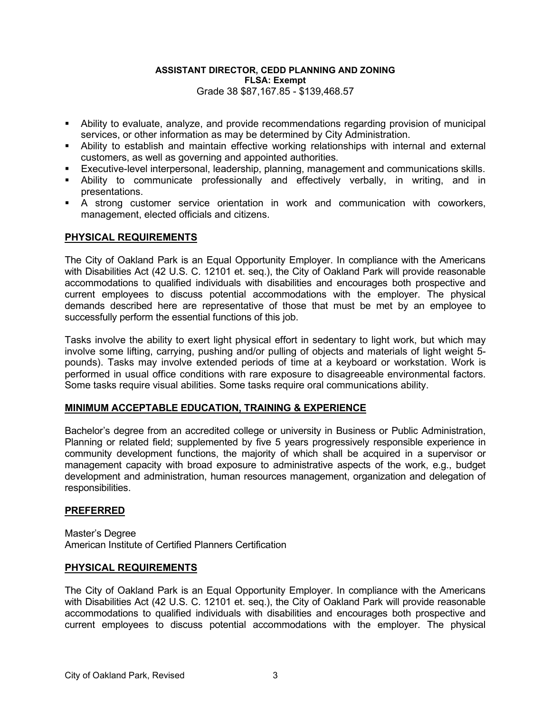- Ability to evaluate, analyze, and provide recommendations regarding provision of municipal services, or other information as may be determined by City Administration.
- Ability to establish and maintain effective working relationships with internal and external customers, as well as governing and appointed authorities.
- Executive-level interpersonal, leadership, planning, management and communications skills.
- Ability to communicate professionally and effectively verbally, in writing, and in presentations.
- A strong customer service orientation in work and communication with coworkers, management, elected officials and citizens.

## **PHYSICAL REQUIREMENTS**

The City of Oakland Park is an Equal Opportunity Employer. In compliance with the Americans with Disabilities Act (42 U.S. C. 12101 et. seq.), the City of Oakland Park will provide reasonable accommodations to qualified individuals with disabilities and encourages both prospective and current employees to discuss potential accommodations with the employer. The physical demands described here are representative of those that must be met by an employee to successfully perform the essential functions of this job.

Tasks involve the ability to exert light physical effort in sedentary to light work, but which may involve some lifting, carrying, pushing and/or pulling of objects and materials of light weight 5 pounds). Tasks may involve extended periods of time at a keyboard or workstation. Work is performed in usual office conditions with rare exposure to disagreeable environmental factors. Some tasks require visual abilities. Some tasks require oral communications ability.

### **MINIMUM ACCEPTABLE EDUCATION, TRAINING & EXPERIENCE**

Bachelor's degree from an accredited college or university in Business or Public Administration, Planning or related field; supplemented by five 5 years progressively responsible experience in community development functions, the majority of which shall be acquired in a supervisor or management capacity with broad exposure to administrative aspects of the work, e.g., budget development and administration, human resources management, organization and delegation of responsibilities.

### **PREFERRED**

Master's Degree American Institute of Certified Planners Certification

### **PHYSICAL REQUIREMENTS**

The City of Oakland Park is an Equal Opportunity Employer. In compliance with the Americans with Disabilities Act (42 U.S. C. 12101 et. seq.), the City of Oakland Park will provide reasonable accommodations to qualified individuals with disabilities and encourages both prospective and current employees to discuss potential accommodations with the employer. The physical